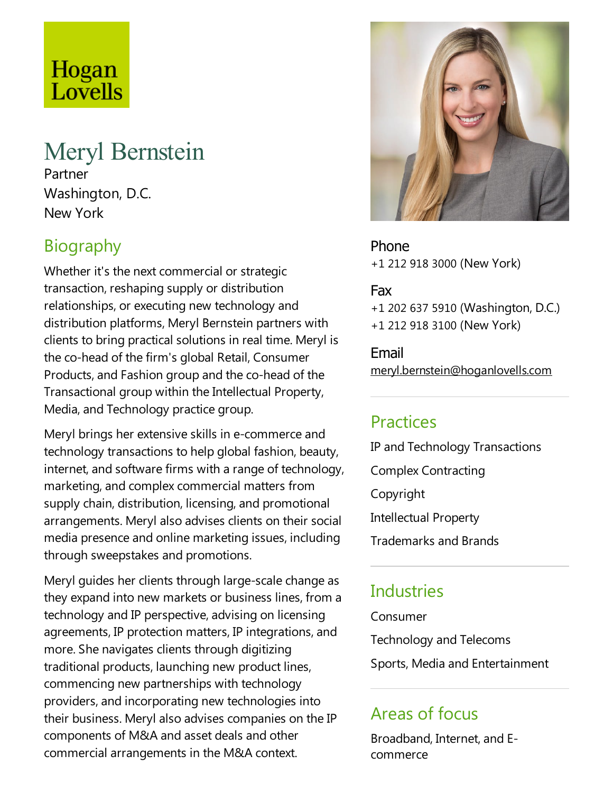# Hogan Lovells

## Meryl Bernstein

Partner Washington, D.C. New York

### **Biography**

Whether it's the next commercial or strategic transaction, reshaping supply or distribution relationships, or executing new technology and distribution platforms, Meryl Bernstein partners with clients to bring practical solutions in real time.Meryl is the co-head of the firm's global Retail, Consumer Products, and Fashion group and the co-head of the Transactional group within the Intellectual Property, Media, and Technology practice group.

Meryl brings her extensive skills in e-commerce and technology transactions to help global fashion, beauty, internet, and software firms with a range of technology, marketing, and complex commercial matters from supply chain, distribution, licensing, and promotional arrangements.Meryl also advises clients on their social media presence and online marketing issues, including through sweepstakes and promotions.

Meryl guides her clients through large-scale change as they expand into new markets or business lines, from a technology and IP perspective, advising on licensing agreements, IP protection matters, IP integrations, and more. She navigates clients through digitizing traditional products, launching new product lines, commencing new partnerships with technology providers, and incorporating new technologies into their business. Meryl also advises companies on the IP components of M&A and asset deals and other commercial arrangements in the M&A context.



Phone +1 212 918 3000 (New York)

#### Fax

+1 202 637 5910 (Washington, D.C.) +1 212 918 3100 (New York)

Email meryl.bernstein@hoganlovells.com

#### Practices

IP and Technology Transactions Complex Contracting Copyright Intellectual Property Trademarks and Brands

#### **Industries**

Consumer

Technology and Telecoms

Sports, Media and Entertainment

#### Areas of focus

Broadband, Internet, and Ecommerce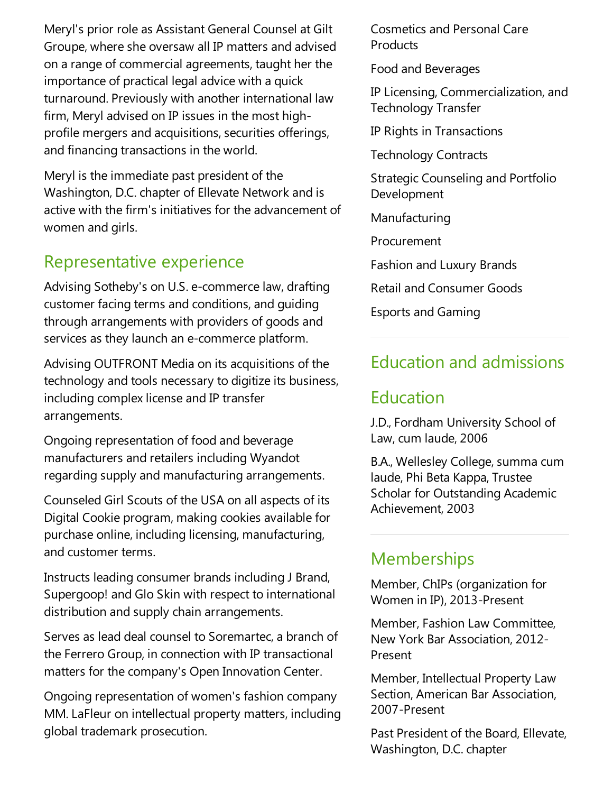Meryl's prior role as Assistant General Counsel at Gilt Groupe, where she oversaw all IP matters and advised on arange of commercial agreements, taught her the importance of practical legal advice with a quick turnaround. Previously with another international law firm, Meryl advised on IP issues in the most highprofile mergers and acquisitions, securities offerings, and financing transactions in the world.

Meryl is the immediate past president of the Washington, D.C. chapter of Ellevate Network and is active with the firm's initiatives for the advancement of women and girls.

#### Representative experience

Advising Sotheby's on U.S. e-commerce law, drafting customer facing terms and conditions, and guiding through arrangements with providers of goods and services as they launch an e-commerce platform.

Advising OUTFRONT Media on its acquisitions of the technology and tools necessary to digitize its business, including complex license and IP transfer arrangements.

Ongoing representation of food and beverage manufacturers and retailers including Wyandot regarding supply and manufacturing arrangements.

Counseled Girl Scouts of the USA on all aspects of its Digital Cookie program, making cookies available for purchase online, including licensing, manufacturing, and customer terms.

Instructs leading consumer brands including J Brand, Supergoop! and Glo Skin with respect to international distribution and supply chain arrangements.

Serves as lead deal counsel to Soremartec, a branch of the Ferrero Group, in connection with IP transactional matters for the company's Open Innovation Center.

Ongoing representation of women's fashion company MM.LaFleur on intellectual property matters, including global trademark prosecution.

Cosmetics and Personal Care **Products** 

Food and Beverages

IP Licensing, Commercialization,and Technology Transfer

IP Rights in Transactions

Technology Contracts

Strategic Counseling and Portfolio Development

Manufacturing

Procurement

Fashion and Luxury Brands

Retail and Consumer Goods

Esports and Gaming

#### Education and admissions

#### Education

J.D., Fordham University School of Law, cum laude, 2006

B.A., Wellesley College, summa cum laude, Phi Beta Kappa, Trustee Scholar for Outstanding Academic Achievement, 2003

#### **Memberships**

Member, ChIPs (organization for Women in IP), 2013-Present

Member, Fashion Law Committee, New York Bar Association, 2012- Present

Member, Intellectual Property Law Section, American Bar Association, 2007-Present

Past President of the Board, Ellevate, Washington, D.C. chapter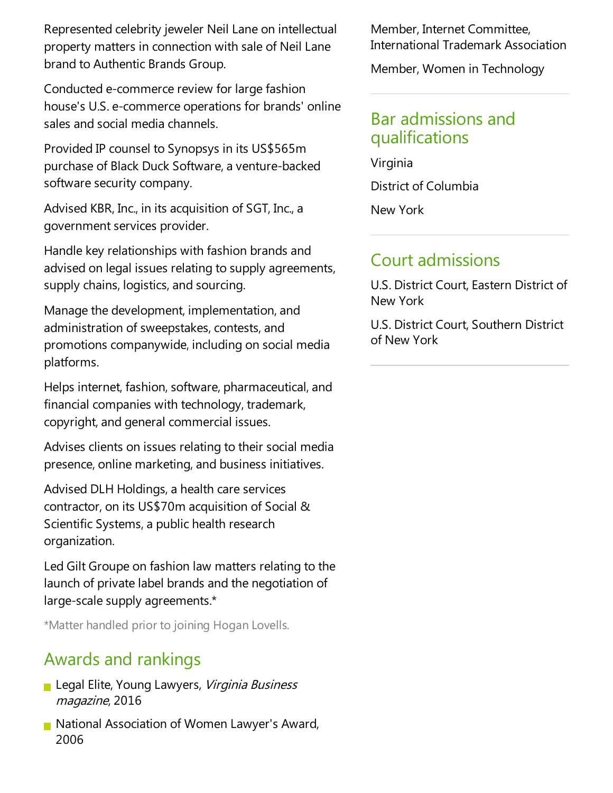Represented celebrity jeweler Neil Lane on intellectual property matters in connection with sale of Neil Lane brand to Authentic Brands Group.

Conducted e-commerce review for large fashion house's U.S. e-commerce operations for brands' online sales and social media channels.

Provided IP counsel to Synopsys in its US\$565m purchase of Black Duck Software, a venture-backed software security company.

Advised KBR, Inc., in its acquisition of SGT, Inc., a government services provider.

Handle key relationships with fashion brands and advised on legal issues relating to supply agreements, supply chains, logistics, and sourcing.

Manage the development, implementation, and administration of sweepstakes, contests, and promotions companywide, including on social media platforms.

Helps internet, fashion, software, pharmaceutical, and financial companies with technology, trademark, copyright,and general commercial issues.

Advises clients on issues relating to their social media presence, online marketing,and business initiatives.

Advised DLH Holdings, a health care services contractor, on its US\$70m acquisition of Social & Scientific Systems, a public health research organization.

Led Gilt Groupe on fashion law matters relating to the launch of private label brands and the negotiation of large-scale supply agreements.\*

\*Matter handled prior to joining Hogan Lovells.

### Awards and rankings

- **Legal Elite, Young Lawyers, Virginia Business** magazine, 2016
- **National Association of Women Lawyer's Award,** 2006

Member, Internet Committee, International Trademark Association

Member, Women in Technology

#### Bar admissions and qualifications

Virginia District of Columbia New York

#### Court admissions

U.S. District Court, Eastern District of New York

U.S. District Court, Southern District of New York